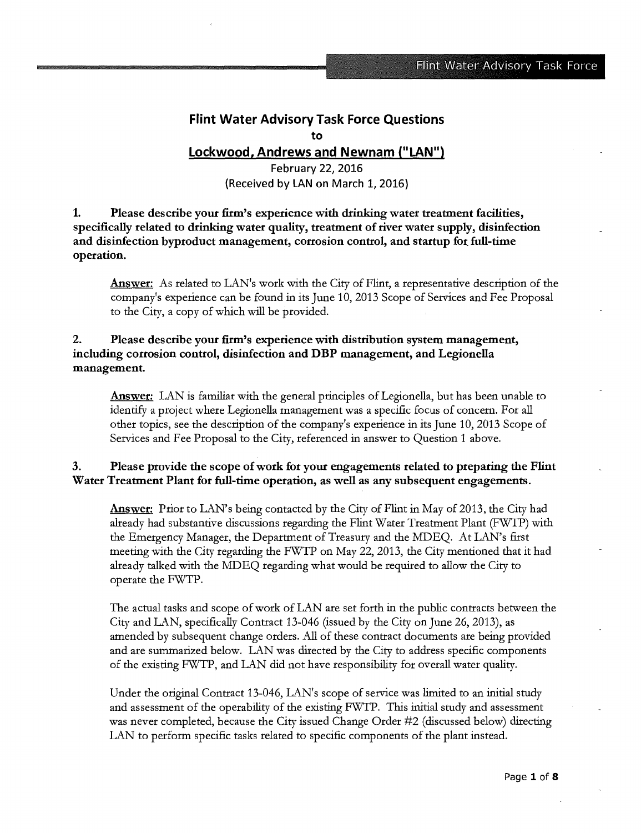# Flint Water Advisory Task Force Questions to Lockwood, Andrews and Newnam ("LAN")

February 22, 2016 (Received by LAN on March 1, 2016)

1. Please describe your firm's experience with drinking water treatment facilities, specifically related to drinking water quality, treatment of river water supply, disinfection and disinfection byproduct management, corrosion control, and startup for full-time operation.

Answer: As related to LAN's work with the City of Flint, a representative description of the company's experience can be found in its June 10, 2013 Scope of Services and Fee Proposal to the City, a copy of which will be provided.

# 2. Please describe your firm's experience with distribution system management, including corrosion control, disinfection and DBP management, and Legionella management.

Answer: LAN is familiar with the general principles of Legionella, but has been unable to identify a project where Legionella management was a specific focus of concern. For all other topics, see the description of the company's experience in its June 10, 2013 Scope of Services and Fee Proposal to the City, referenced in answer to Question 1 above.

# 3. Please provide the scope of work for your engagements related to preparing the Flint Water Treatment Plant for full-time operation, as well as any subsequent engagements.

Answer: Prior to LAN's being contacted by the City of Flint in May of 2013, the City had already had substantive discussions regarding the Flint Water Treatment Plant (FWTP) with the Emergency Manager, the Department of Treasury and the MDEQ. At LAN's first meeting with the City regarding the FWTP on May 22, 2013, the City mentioned that it had already talked with the MDEQ regarding what would be required to allow the City to operate the FWTP.

The actual tasks and scope of work of LAN are set forth in the public contracts between the City and LAN, specifically Contract 13-046 (issued by the City on June 26, 2013), as amended by subsequent change orders. All of these contract documents are being provided and are summarized below. LAN was directed by the City to address specific components of the existing FWTP, and LAN did not have responsibility for overall water quality.

Under the original Contract 13-046, LAN's scope of service was limited to an initial study and assessment of the operability of the existing FWTP. This initial study and assessment was never completed, because the City issued Change Order #2 (discussed below) directing LAN to perform specific tasks related to specific components of the plant instead.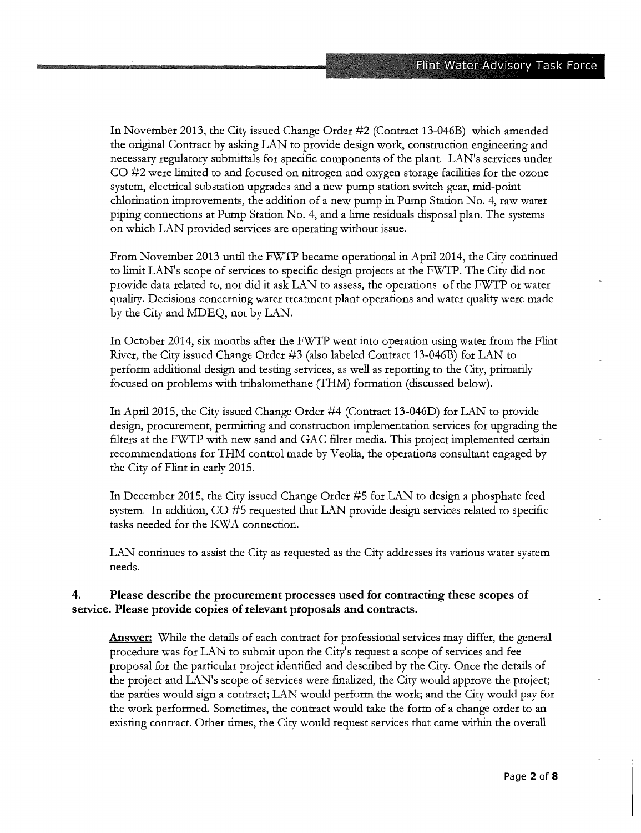In November 2013, the City issued Change Order #2 (Contract 13-046B) which amended the original Contract by asking LAN to provide design work, construction engineering and necessary regulatory submittals for specific components of the plant. LAN's services under CO #2 were limited to and focused on nitrogen and oxygen storage facilities for the ozone system, electrical substation upgrades and a new pump station switch gear, mid-point chlorination improvements, the addition of a new pump in Pump Station No. 4, raw water piping connections at Pump Station No. 4, and a lime residuals disposal plan. The systems on which LAN provided services are operating without issue.

From November 2013 until the FWTP became operational in April 2014, the City continued to limit LAN's scope of services to specific design projects at the FWTP. The City did not provide data related to, nor did it ask LAN to assess, the operations of the FWTP or water quality. Decisions concerning water treatment plant operations and water quality were made by the City and MDEQ, not by LAN.

In October 2014, six months after the FWTP went into operation using water from the Flint River, the City issued Change Order #3 (also labeled Contract 13-046B) for LAN to perform additional design and testing services, as well as reporting to the City, primarily focused on problems with trihalomethane (THM) formation (discussed below).

In April 2015, the City issued Change Order #4 (Contract 13-046D) for LAN to provide design, procurement, permitting and construction implementation services for upgrading the filters at the FWTP with new sand and GAC filter media. This project implemented certain recommendations for THM control made by Veolia, the operations consultant engaged by the City of Flint in early 2015.

In December 2015, the City issued Change Order #5 for LAN to design a phosphate feed system. In addition, CO #5 requested that LAN provide design services related to specific tasks needed for the KWA connection.

LAN continues to assist the City as requested as the City addresses its various water system needs.

#### 4. Please describe the procurement processes used for contracting these scopes of service. Please provide copies of relevant proposals and contracts.

**Answer:** While the details of each contract for professional services may differ, the general procedure was for LAN to submit upon the City's request a scope of services and fee proposal for the particular project identified and described by the City. Once the details of the project and LAN's scope of services were finalized, the City would approve the project; the parties would sign a contract; LAN would perform the work; and the City would pay for the work performed. Sometimes, the contract would take the form of a change order to an existing contract. Other times, the City would request services that came within the overall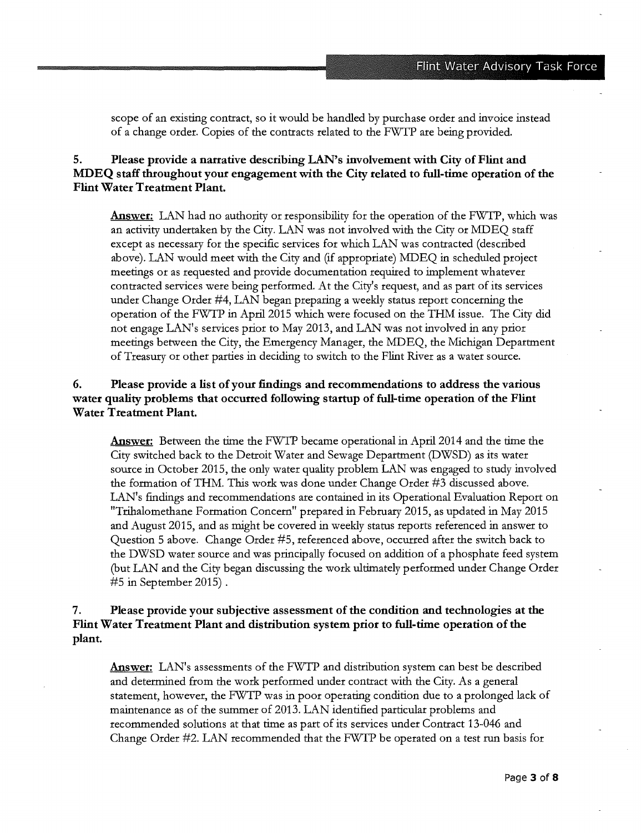scope of an existing contract, so it would be handled by purchase order and invoice instead of a change order. Copies of the contracts related to the FWTP are being provided.

# 5. Please provide a narrative describing LAN's involvement with City of Flint and MDEQ staff throughout your engagement with the City related to full-time operation of the Flint Water Treatment Plant.

**Answer:** LAN had no authority or responsibility for the operation of the FWTP, which was an activity undertaken by the City. LAN was not involved with the City or MDEQ staff except as necessary for the specific services for which LAN was contracted (described above). LAN would meet with the City and (if appropriate) MDEQ in scheduled project meetings or as requested and provide documentation required to implement whatever contracted services were being performed. At the City's request, and as part of its services under Change Order #4, LAN began preparing a weekly status report conceming the operation of the FWTP in April 2015 which were focused on the THM issue. The City did not engage LAN's services prior to May 2013, and LAN was not involved in any prior meetings between the City, the Emergency Manager, the MDEQ, the Michigan Department of Treasury or other parties in deciding to switch to the Flint River as a water source.

# 6. Please provide a list of your findings and recommendations to address the various water quality problems that occurred following startup of full-time operation of the Flint Water Treatment Plant.

Answer: Between the time the FWTP became operational in April 2014 and the time the City switched back to the Detroit Water and Sewage Deparunent (DWSD) as its water source in October 2015, the only water quality problem LAN was engaged to study involved the formation of THM. This work was done under Change Order #3 discussed above. LAN's findings and recommendations are contained in its Operational Evaluation Report on "Trihalomethane Formation Concern" prepared in February 2015, as updated in May 2015 and August 2015, and as might be covered in weekly status reports referenced in answer to Question 5 above. Change Order #5, referenced above, occurred after the switch back to the DWSD water source and was principally focused on addition of a phosphate feed system (but LAN and the City began discussing the work ultimately performed under Change Order #5 in September 2015) .

#### 7. Please provide your subjective assessment of the condition and technologies at the Flint Water Treatment Plant and distribution system prior to full-time operation of the plant.

Answer: LAN's assessments of the FWTP and distribution system can best be described and determined from the work performed under contract with the City. As a general statement, however, the FWTP was in poor operating condition due to a prolonged lack of maintenance as of the summer of 2013. LAN identified particular problems and recommended solutions at that time as part of its services under Contract 13-046 and Change Order #2. LAN recommended that the FWTP be operated on a test run basis for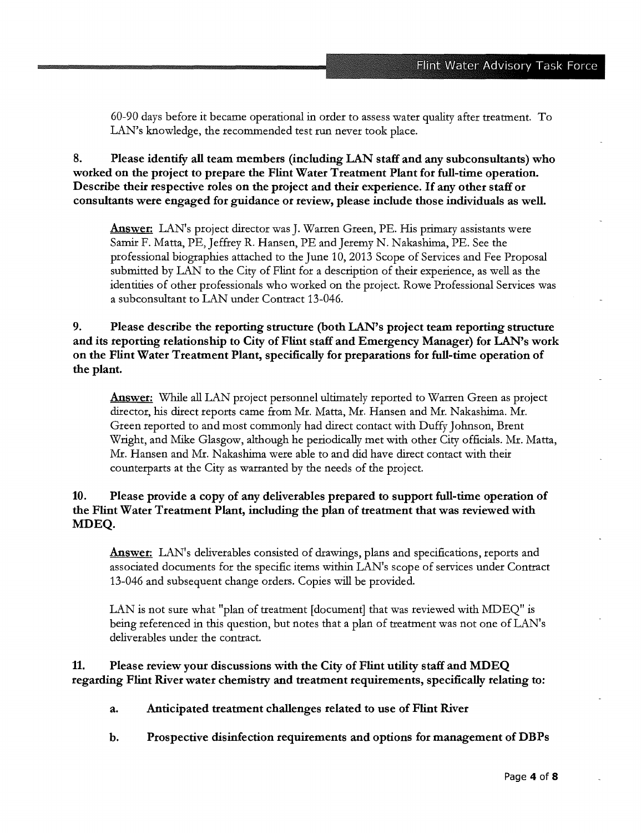60-90 days before it became operational in order to assess water quality after treatment. To LAN's knowledge, the recommended test run never took place.

8. Please identify all team members (including LAN staff and any subconsultants) who worked on the project to prepare the Flint Water Treatment Plant for full-time operation. Describe their respective roles on the project and their experience. If any other staff or consultants were engaged for guidance or review, please include those individuals as well.

Answer: LAN's project director was J. Warren Green, PE. His primary assistants were Samir F. Matta, PE, Jeffrey R. Hansen, PE and Jeremy N. Nakashima, PE. See the professional biographies attached to the June 10, 2013 Scope of Services and Fee Proposal submitted by LAN to the City of Flint for a description of their experience, as well as the identities of other professionals who worked on the project. Rowe Professional Services was a subconsultant to LAN under Contract 13-046.

# 9. Please describe the reporting structure (both LAN's project team reporting structure and its reporting relationship to City of Flint staff and Emergency Manager) for LAN's work on the Flint Water Treatment Plant, specifically for preparations for full-time operation of the plant.

Answer: While all LAN project personnel ultimately reported to Warren Green as project director, his direct reports came from Mr. Matta, Mr. Hansen and Mr. Nakashima. Mr. Green reported to and most commonly had direct contact with Duffy Johnson, Brent Wright, and Mike Glasgow, although he periodically met with other City officials. Mr. Matta, Mr. Hansen and Mr. Nakashima were able to and did have direct contact with their counterparts at the City as warranted by the needs of the project.

# 10. Please provide a copy of any deliverables prepared to support full-time operation of the Flint Water Treatment Plant, including the plan of treatment that was reviewed with MDEQ.

Answer: LAN's deliverables consisted of drawings, plans and specifications, reports and associated documents for the specific items within LAN's scope of services under Contract 13-046 and subsequent change orders. Copies will be provided.

LAN is not sure what "plan of treatment [document] that was reviewed with MDEQ" is being referenced in this question, but notes that a plan of treatment was not one of LAN's deliverables under the contract.

# 11. Please review your discussions with the City of Flint utility staff and MDEQ regarding Flint River water chemistry and treatment requirements, specifically relating to:

- a. Anticipated treatment challenges related to use of Flint River
- b. Prospective disinfection requirements and options for management of DBPs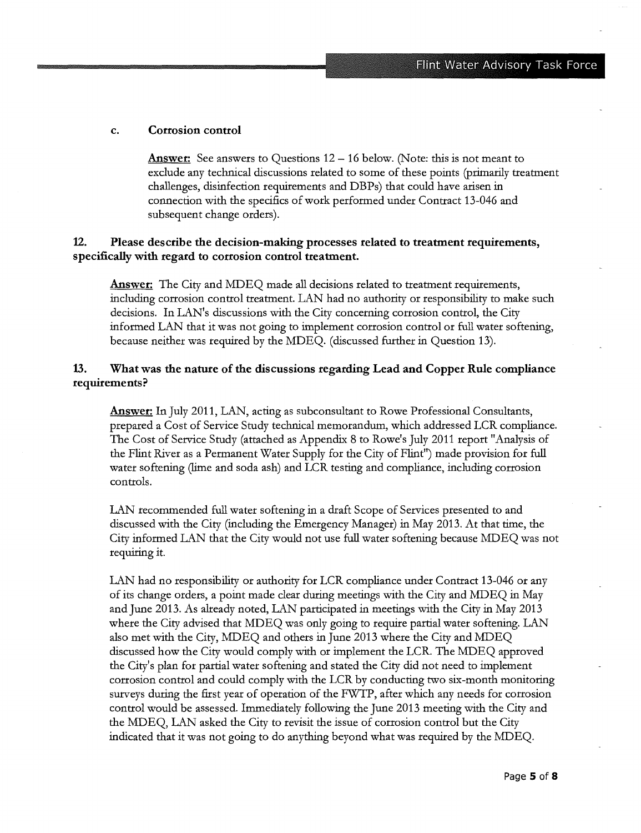#### c. Corrosion control

**Answer:** See answers to Questions  $12 - 16$  below. (Note: this is not meant to exclude any technical discussions related to some of these points (primarily treatment challenges, disinfection requirements and DBPs) that could have arisen in connection with the specifics of work performed under Contract 13-046 and subsequent change orders).

#### 12. Please describe the decision-making processes related to treatment requirements, specifically with regard to corrosion control treatment.

**Answer:** The City and MDEQ made all decisions related to treatment requirements, including corrosion control treatment. LAN had no authority or responsibility to make such decisions. In LAN's discussions with the City concerning corrosion control, the City informed LAN that it was not going to implement corrosion control or full water softening, because neither was required by the MDEQ. (discussed further in Question 13).

# 13. What was the nature of the discussions regarding Lead and Copper Rule compliance requirements?

Answer: In July 2011, LAN, acting as subconsultant to Rowe Professional Consultants, prepared a Cost of Service Study technical memorandum, which addressed LCR compliance. The Cost of Service Study (attached as Appendix 8 to Rowe's July 2011 report "Analysis of the Flint River as a Permanent Water Supply for the City of Flint") made provision for full water softening (lime and soda ash) and LCR testing and compliance, including corrosion controls.

LAN recommended full water softening in a draft Scope of Services presented to and discussed with the City (including the Emergency Manager) in May 2013. At that time, the City informed LAN that the City would not use full water softening because MDEQ was not requiring it.

LAN had no responsibility or authority for LCR compliance under Contract 13-046 or any of its change orders, a point made clear during meetings with the City and MDEQ in May and June 2013. As already noted, LAN participated in meetings with the City in May 2013 where the City advised that MDEQ was only going to require partial water softening. LAN also met with the City, MDEQ and others in June 2013 where the City and MDEQ discussed how the City would comply with or implement the LCR. The MDEQ approved the City's plan for partial water softening and stated the City did not need to implement corrosion control and could comply with the LCR by conducting two six-month monitoring surveys during the first year of operation of the FWTP, after which any needs for corrosion control would be assessed. Immediately following the June 2013 meeting with the City and the MDEQ, LAN asked the City to revisit the issue of corrosion control but the City indicated that it was not going to do anything beyond what was required by the MDEQ.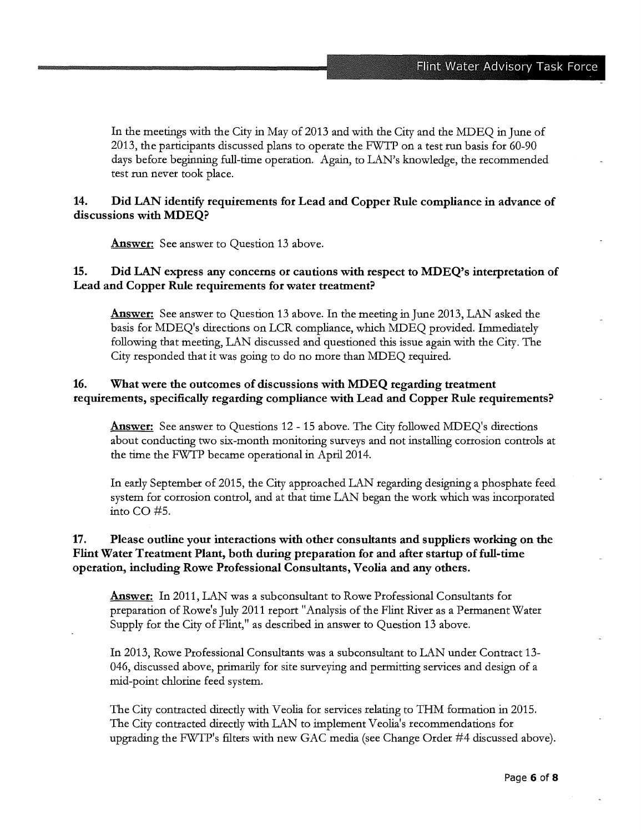In the meetings with the City in May of 2013 and with the City and the MDEQ in June of 2013, the participants discussed plans to operate the FWTP on a test run basis for 60-90 days before beginning full-time operation. Again, to LAN's knowledge, the recommended test run never took place.

#### 14. Did LAN identify requirements for Lead and Copper Rule compliance in advance of discussions with MDEQ?

**Answer:** See answer to Question 13 above.

# 15. Did LAN express any concerns or cautions with respect to MDEQ's interpretation of Lead and Copper Rule requirements for water treatment?

Answer: See answer to Question 13 above. In the meeting in June 2013, LAN asked the basis for MDEQ's directions on LCR compliance, which MDEQ provided. Immediately following that meeting, LAN discussed and questioned this issue again with the City. The City responded that it was going to do no more than MDEQ required.

#### 16. What were the outcomes of discussions with MDEQ regarding treatment requirements, specifically regarding compliance with Lead and Copper Rule requirements?

Answer: See answer to Questions 12 - 15 above. The City followed MDEQ's directions about conducting two six-month monitoring surveys and not installing corrosion controls at the time the FWTP became operational in April 2014.

In early September of 2015, the City approached LAN regarding designing a phosphate feed system for corrosion control, and at that time LAN began the work which was incorporated into CO #5.

# 17. Please outline your interactions with other consultants and suppliers working on the Flint Water Treatment Plant, both during preparation for and after startup of full-time operation, including Rowe Professional Consultants, Veolia and any others.

Answer: In 2011, LAN was a subconsultant to Rowe Professional Consultants for preparation of Rowe's July 2011 report "Analysis of the Flint River as a Permanent Water Supply for the City of Flint," as described in answer to Question 13 above.

In 2013, Rowe Professional Consultants was a subconsultant to LAN under Contract 13- 046, discussed above, primarily for site surveying and permitting services and design of a mid-point chlorine feed system.

The City contracted directly with Veolia for services relating to THM formation in 2015. The City contracted directly with LAN to implement Veolia's recommendations for upgrading the FWTP's filters with new GAC media (see Change Order #4 discussed above).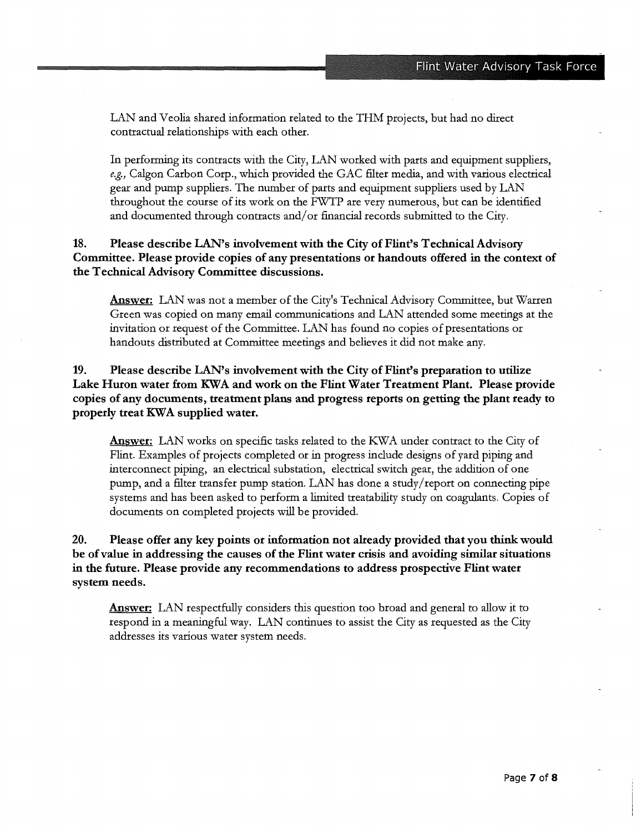LAN and Veolia shared information related to the THM projects, but had no direct contractual relationships with each other.

In performing its contracts with the City, LAN worked with parts and equipment suppliers, e.g., Calgon Carbon Corp., which provided the GAC filter media, and with various electrical gear and pump suppliers. The number of parts and equipment suppliers used by LAN throughout the course of its work on the FWTP are very numerous, but can be identified and documented through contracts and/or financial records submitted to the City.

# 18. Please describe LAN's involvement with the City of Flint's Technical Advisory Committee. Please provide copies of any presentations or handouts offered in the context of the Technical Advisory Committee discussions.

Answer: LAN was not a member of the City's Technical Advisory Committee, but Warren Green was copied on many email communications and LAN attended some meetings at the invitation or request of the Committee. LAN has found no copies of presentations or handouts distributed at Committee meetings and believes it did not make any.

# 19. Please describe LAN's involvement with the City of Flint's preparation to utilize Lake Huron water from KWA and work on the Flint Water Treatment Plant. Please provide copies of any documents, treatment plans and progress reports on getting the plant ready to properly treat KWA supplied water.

Answer: LAN works on specific tasks related to the KWA under contract to the City of Flint. Examples of projects completed or in progress include designs of yard piping and interconnect piping, an electrical substation, electrical switch gear, the addition of one pump, and a filter transfer pump station. LAN has done a study/report on connecting pipe systems and has been asked to perform a limited treatability study on coagulants. Copies of documents on completed projects will be provided.

# 20. Please offer any key points or information not already provided that you think would be of value in addressing the causes of the Flint water crisis and avoiding similar situations in the future. Please provide any recommendations to address prospective Flint water system needs.

**Answer:** LAN respectfully considers this question too broad and general to allow it to respond in a meaningful way. LAN continues to assist the City as requested as the City addresses its various water system needs.